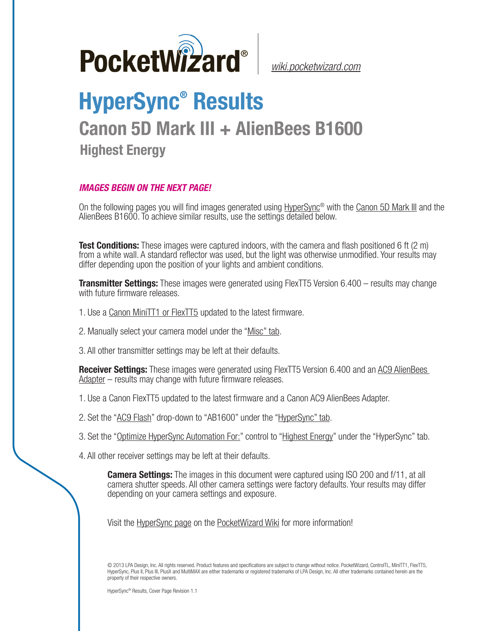

*[wiki.pocketwizard.com](http://wiki.pocketwizard.com/)*

## **HyperSync® Results**

## **Canon 5D Mark III + AlienBees B1600**

**Highest Energy**

## *IMAGES BEGIN ON THE NEXT PAGE!*

On the following pages you will find images generated using [HyperSync](http://wiki.pocketwizard.com/index.php?title=Hypersync)® with the [Canon 5D Mark III](http://wiki.pocketwizard.com/index.php?title=Canon_5D_Mark_III) and the AlienBees B1600. To achieve similar results, use the settings detailed below.

**Test Conditions:** These images were captured indoors, with the camera and flash positioned 6 ft (2 m) from a white wall. A standard reflector was used, but the light was otherwise unmodified. Your results may differ depending upon the position of your lights and ambient conditions.

**Transmitter Settings:** These images were generated using FlexTT5 Version 6.400 – results may change with future firmware releases.

- 1. Use a [Canon MiniTT1 or FlexTT5](http://wiki.pocketwizard.com/index.php?title=Canon_MiniTT1_and_FlexTT5) updated to the latest firmware.
- 2. Manually select your camera model under the "[Misc" tab](http://wiki.pocketwizard.com/index.php?title=Misc_Tab).
- 3. All other transmitter settings may be left at their defaults.

**Receiver Settings:** These images were generated using FlexTT5 Version 6.400 and an [AC9 AlienBees](http://wiki.pocketwizard.com/index.php?title=AC9_AlienBees_Adapter)  [Adapter](http://wiki.pocketwizard.com/index.php?title=AC9_AlienBees_Adapter) – results may change with future firmware releases.

- 1. Use a [Canon FlexTT5](http://wiki.pocketwizard.com/index.php?title=Canon_MiniTT1_and_FlexTT5) updated to the latest firmware and a Canon AC9 AlienBees Adapter.
- 2. Set the "[AC9 Flash](http://wiki.pocketwizard.com/index.php?title=HyperSync/HSS_Tab#AC9_Flash)" drop-down to "AB1600" under the "[HyperSync" tab](http://wiki.pocketwizard.com/index.php?title=Hypersync_tab).
- 3. Set the "[Optimize HyperSync Automation For:](http://wiki.pocketwizard.com/index.php?title=HyperSync/HSS_Tab#Optimize_HyperSync_Automation_For:)" control to ["Highest Energy"](http://wiki.pocketwizard.com/index.php?title=HyperSync/HSS_Tab#Optimize_HyperSync_Automation_For:) under the "HyperSync" tab.
- 4. All other receiver settings may be left at their defaults.

**Camera Settings:** The images in this document were captured using ISO 200 and f/11, at all camera shutter speeds. All other camera settings were factory defaults. Your results may differ depending on your camera settings and exposure.

Visit the [HyperSync page](http://wiki.pocketwizard.com/index.php?title=Hypersync) on the P[ocketWizard Wiki](http://wiki.pocketwizard.com/) for more information!

© 2013 LPA Design, Inc. All rights reserved. Product features and specifications are subject to change without notice. PocketWizard, ControlTL, MiniTT1, FlexTT5, HyperSync, Plus II, Plus III, PlusX and MultiMAX are either trademarks or registered trademarks of LPA Design, Inc. All other trademarks contained herein are the property of their respective owners.

HyperSync® Results, Cover Page Revision 1.1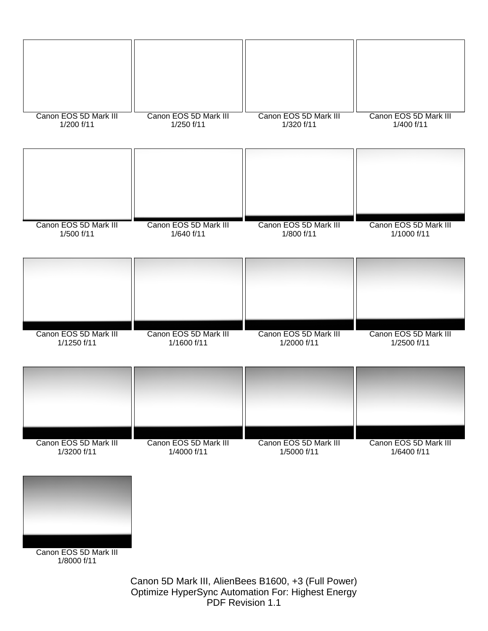

Canon 5D Mark III, AlienBees B1600, +3 (Full Power) Optimize HyperSync Automation For: Highest Energy PDF Revision 1.1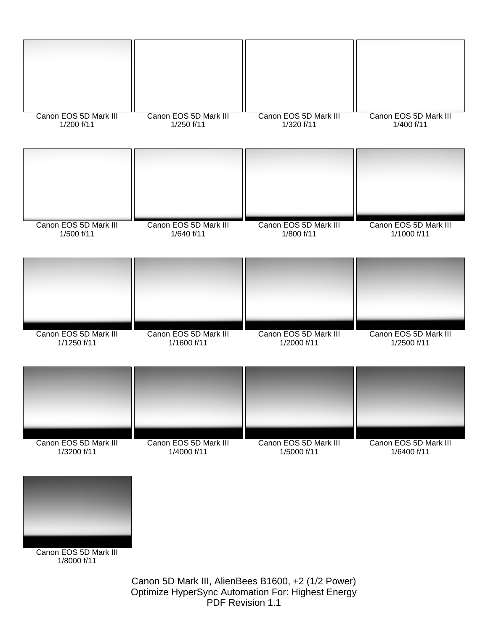

> Canon 5D Mark III, AlienBees B1600, +2 (1/2 Power) Optimize HyperSync Automation For: Highest Energy PDF Revision 1.1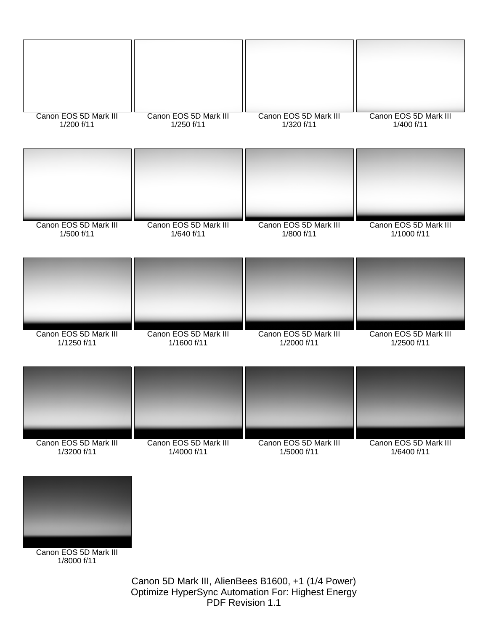

> Canon 5D Mark III, AlienBees B1600, +1 (1/4 Power) Optimize HyperSync Automation For: Highest Energy PDF Revision 1.1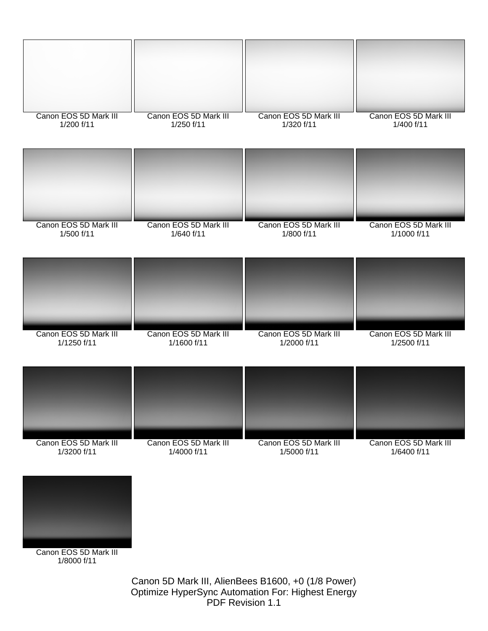

1/8000 f/11

Canon 5D Mark III, AlienBees B1600, +0 (1/8 Power) Optimize HyperSync Automation For: Highest Energy PDF Revision 1.1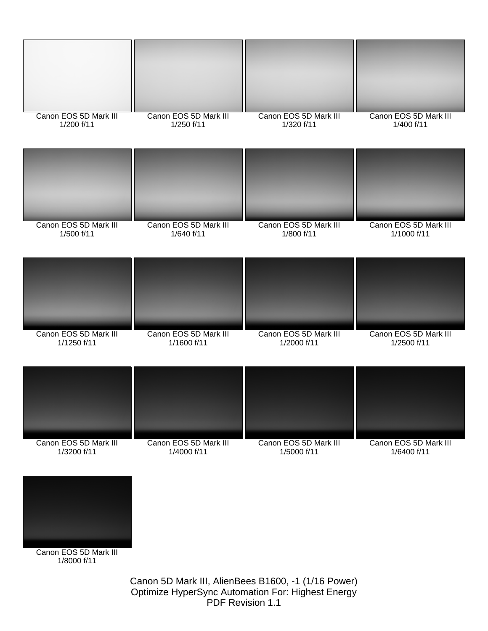

Canon 5D Mark III, AlienBees B1600, -1 (1/16 Power) Optimize HyperSync Automation For: Highest Energy PDF Revision 1.1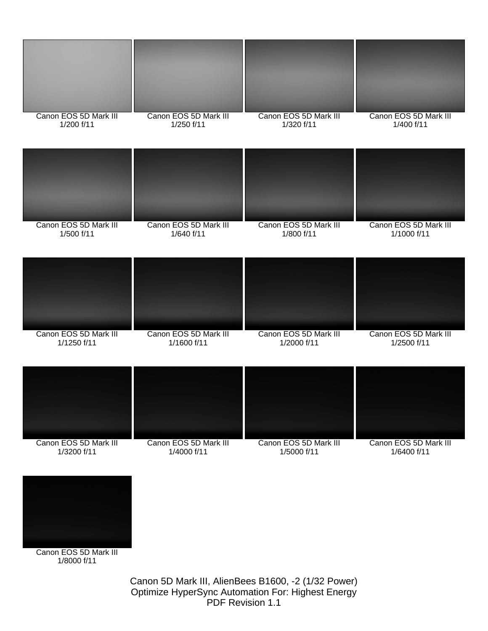

> Canon 5D Mark III, AlienBees B1600, -2 (1/32 Power) Optimize HyperSync Automation For: Highest Energy PDF Revision 1.1